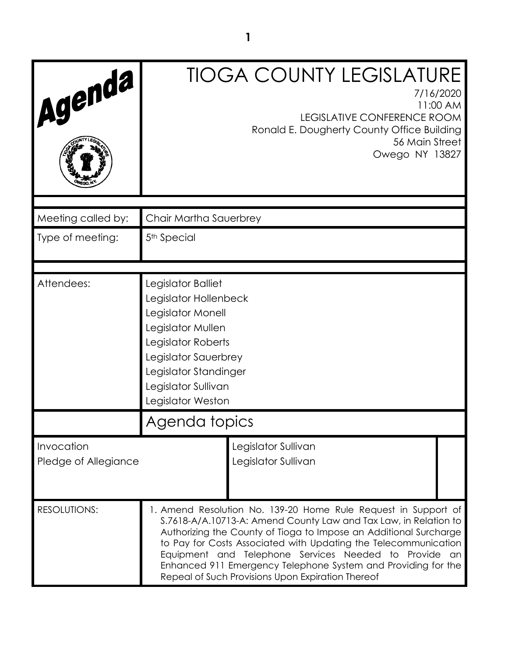| Agenda                             |                                                                                                                                                                                                                                                                                                                                                                                                                                                              | <b>TIOGA COUNTY LEGISLATURE</b><br>7/16/2020<br>11:00 AM<br><b>LEGISLATIVE CONFERENCE ROOM</b><br>Ronald E. Dougherty County Office Building<br>56 Main Street<br>Owego NY 13827 |
|------------------------------------|--------------------------------------------------------------------------------------------------------------------------------------------------------------------------------------------------------------------------------------------------------------------------------------------------------------------------------------------------------------------------------------------------------------------------------------------------------------|----------------------------------------------------------------------------------------------------------------------------------------------------------------------------------|
| Meeting called by:                 | Chair Martha Sauerbrey                                                                                                                                                                                                                                                                                                                                                                                                                                       |                                                                                                                                                                                  |
| Type of meeting:                   | 5 <sup>th</sup> Special                                                                                                                                                                                                                                                                                                                                                                                                                                      |                                                                                                                                                                                  |
| Attendees:                         | Legislator Balliet<br>Legislator Hollenbeck<br>Legislator Monell<br>Legislator Mullen<br>Legislator Roberts<br>Legislator Sauerbrey<br>Legislator Standinger<br>Legislator Sullivan<br>Legislator Weston                                                                                                                                                                                                                                                     |                                                                                                                                                                                  |
|                                    | Agenda topics                                                                                                                                                                                                                                                                                                                                                                                                                                                |                                                                                                                                                                                  |
| Invocation<br>Pledge of Allegiance |                                                                                                                                                                                                                                                                                                                                                                                                                                                              | Legislator Sullivan<br>Legislator Sullivan                                                                                                                                       |
| <b>RESOLUTIONS:</b>                | 1. Amend Resolution No. 139-20 Home Rule Request in Support of<br>S.7618-A/A.10713-A: Amend County Law and Tax Law, in Relation to<br>Authorizing the County of Tioga to Impose an Additional Surcharge<br>to Pay for Costs Associated with Updating the Telecommunication<br>Equipment and Telephone Services Needed to Provide<br>an<br>Enhanced 911 Emergency Telephone System and Providing for the<br>Repeal of Such Provisions Upon Expiration Thereof |                                                                                                                                                                                  |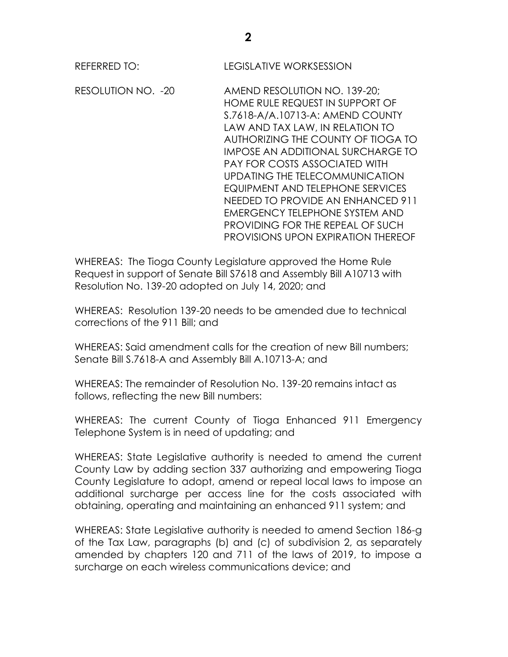RESOLUTION NO. -20 AMEND RESOLUTION NO. 139-20; HOME RULE REQUEST IN SUPPORT OF S.7618-A/A.10713-A: AMEND COUNTY LAW AND TAX LAW, IN RELATION TO AUTHORIZING THE COUNTY OF TIOGA TO IMPOSE AN ADDITIONAL SURCHARGE TO PAY FOR COSTS ASSOCIATED WITH UPDATING THE TELECOMMUNICATION EQUIPMENT AND TELEPHONE SERVICES NEEDED TO PROVIDE AN ENHANCED 911 EMERGENCY TELEPHONE SYSTEM AND PROVIDING FOR THE REPEAL OF SUCH PROVISIONS UPON EXPIRATION THEREOF

WHEREAS: The Tioga County Legislature approved the Home Rule Request in support of Senate Bill S7618 and Assembly Bill A10713 with Resolution No. 139-20 adopted on July 14, 2020; and

WHEREAS: Resolution 139-20 needs to be amended due to technical corrections of the 911 Bill; and

WHEREAS: Said amendment calls for the creation of new Bill numbers; Senate Bill S.7618-A and Assembly Bill A.10713-A; and

WHEREAS: The remainder of Resolution No. 139-20 remains intact as follows, reflecting the new Bill numbers:

WHEREAS: The current County of Tioga Enhanced 911 Emergency Telephone System is in need of updating; and

WHEREAS: State Legislative authority is needed to amend the current County Law by adding section 337 authorizing and empowering Tioga County Legislature to adopt, amend or repeal local laws to impose an additional surcharge per access line for the costs associated with obtaining, operating and maintaining an enhanced 911 system; and

WHEREAS: State Legislative authority is needed to amend Section 186-g of the Tax Law, paragraphs (b) and (c) of subdivision 2, as separately amended by chapters 120 and 711 of the laws of 2019, to impose a surcharge on each wireless communications device; and